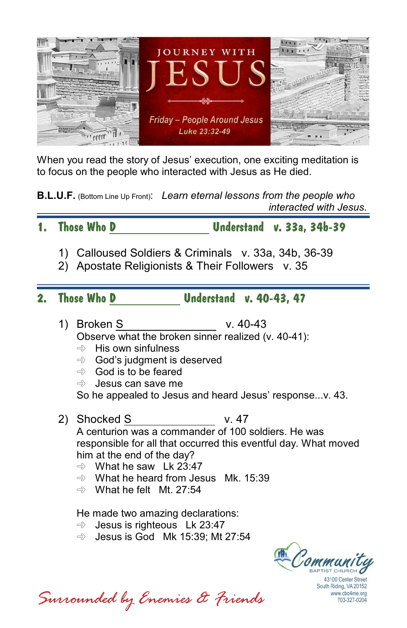

When you read the story of Jesus' execution, one exciting meditation is to focus on the people who interacted with Jesus as He died.

**B.L.U.F.** (Bottom Line Up Front): *Learn eternal lessons from the people who interacted with Jesus.*

**1. Those Who D Understand v. 33a, 34b-39**

- 1) Calloused Soldiers & Criminals v. 33a, 34b, 36-39
- 2) Apostate Religionists & Their Followers v. 35
- **2. Those Who D Understand v. 40-43, 47**
	- 1) Broken S v. 40-43 Observe what the broken sinner realized (v. 40-41):
		- $\Rightarrow$  His own sinfulness
		- $\Rightarrow$  God's judament is deserved
		- $\Rightarrow$  God is to be feared
		- $\Rightarrow$  Jesus can save me

So he appealed to Jesus and heard Jesus' response...v. 43.

- 2) Shocked S v. 47 A centurion was a commander of 100 soldiers. He was responsible for all that occurred this eventful day. What moved him at the end of the day?
	- $\Rightarrow$  What he saw Lk 23:47
	- $\Rightarrow$  What he heard from Jesus Mk. 15:39
	- $\Rightarrow$  What he felt Mt. 27:54

He made two amazing declarations:

 $\Rightarrow$  Jesus is righteous Lk 23:47

 $\Rightarrow$  Jesus is God Mk 15:39; Mt 27:54



43100 Center Street South Riding, VA 20152 www.cbc4me.org 703-327-0204

*Surrounded by Enemies & Friends*